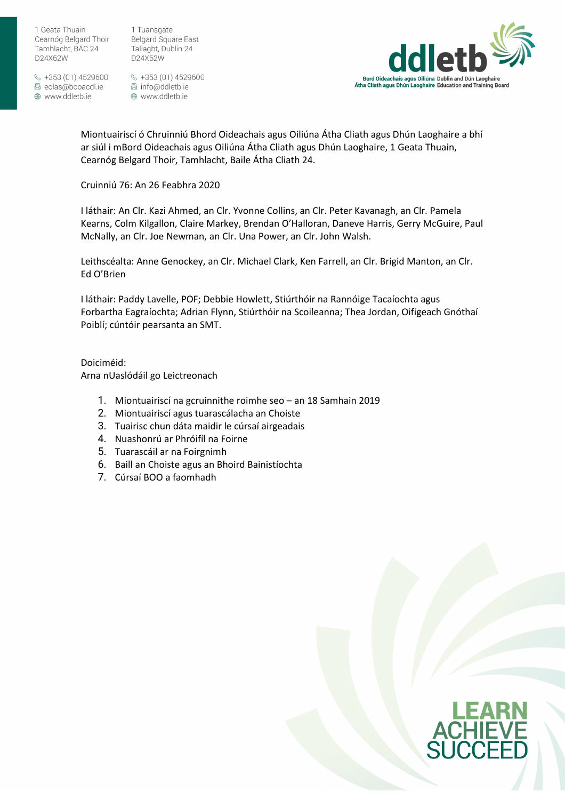1 Tuansgate **Belgard Square East** Tallaght, Dublin 24 D24X62W

 $\frac{1}{2}$  +353 (01) 4529600 圆 eolas@booacdl.ie ⊕ www.ddletb.ie

§ +353 (01) 4529600 圆 info@ddletb.ie ⊕ www.ddletb.ie



Miontuairiscí ó Chruinniú Bhord Oideachais agus Oiliúna Átha Cliath agus Dhún Laoghaire a bhí ar siúl i mBord Oideachais agus Oiliúna Átha Cliath agus Dhún Laoghaire, 1 Geata Thuain, Cearnóg Belgard Thoir, Tamhlacht, Baile Átha Cliath 24.

Cruinniú 76: An 26 Feabhra 2020

I láthair: An Clr. Kazi Ahmed, an Clr. Yvonne Collins, an Clr. Peter Kavanagh, an Clr. Pamela Kearns, Colm Kilgallon, Claire Markey, Brendan O'Halloran, Daneve Harris, Gerry McGuire, Paul McNally, an Clr. Joe Newman, an Clr. Una Power, an Clr. John Walsh.

Leithscéalta: Anne Genockey, an Clr. Michael Clark, Ken Farrell, an Clr. Brigid Manton, an Clr. Ed O'Brien

I láthair: Paddy Lavelle, POF; Debbie Howlett, Stiúrthóir na Rannóige Tacaíochta agus Forbartha Eagraíochta; Adrian Flynn, Stiúrthóir na Scoileanna; Thea Jordan, Oifigeach Gnóthaí Poiblí; cúntóir pearsanta an SMT.

Doiciméid: Arna nUaslódáil go Leictreonach

- 1. Miontuairiscí na gcruinnithe roimhe seo an 18 Samhain 2019
- 2. Miontuairiscí agus tuarascálacha an Choiste
- 3. Tuairisc chun dáta maidir le cúrsaí airgeadais
- 4. Nuashonrú ar Phróifíl na Foirne
- 5. Tuarascáil ar na Foirgnimh
- 6. Baill an Choiste agus an Bhoird Bainistíochta
- 7. Cúrsaí BOO a faomhadh

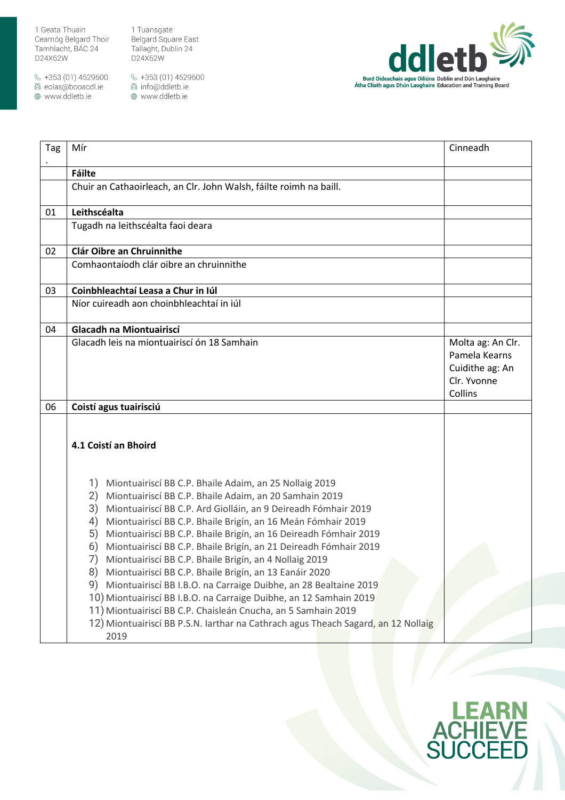$\&$  +353 (01) 4529600 圆 eolas@booacdl.ie

www.ddletb.ie

1 Tuansgate Belgard Square East Tallaght, Dublin 24 D24X62W

 $\&$  +353 (01) 4529600 圆 info@ddletb.ie www.ddletb.ie



| Tag | Mír                                                                                                                                                                                                                                                                                                                                                                                                                                                                                                                                                                                                                                                                                                                                                                                                                                                                          | Cinneadh                                                                        |
|-----|------------------------------------------------------------------------------------------------------------------------------------------------------------------------------------------------------------------------------------------------------------------------------------------------------------------------------------------------------------------------------------------------------------------------------------------------------------------------------------------------------------------------------------------------------------------------------------------------------------------------------------------------------------------------------------------------------------------------------------------------------------------------------------------------------------------------------------------------------------------------------|---------------------------------------------------------------------------------|
|     | <b>Fáilte</b>                                                                                                                                                                                                                                                                                                                                                                                                                                                                                                                                                                                                                                                                                                                                                                                                                                                                |                                                                                 |
|     | Chuir an Cathaoirleach, an Clr. John Walsh, fáilte roimh na baill.                                                                                                                                                                                                                                                                                                                                                                                                                                                                                                                                                                                                                                                                                                                                                                                                           |                                                                                 |
|     |                                                                                                                                                                                                                                                                                                                                                                                                                                                                                                                                                                                                                                                                                                                                                                                                                                                                              |                                                                                 |
| 01  | Leithscéalta                                                                                                                                                                                                                                                                                                                                                                                                                                                                                                                                                                                                                                                                                                                                                                                                                                                                 |                                                                                 |
|     | Tugadh na leithscéalta faoi deara                                                                                                                                                                                                                                                                                                                                                                                                                                                                                                                                                                                                                                                                                                                                                                                                                                            |                                                                                 |
| 02  | Clár Oibre an Chruinnithe                                                                                                                                                                                                                                                                                                                                                                                                                                                                                                                                                                                                                                                                                                                                                                                                                                                    |                                                                                 |
|     | Comhaontaíodh clár oibre an chruinnithe                                                                                                                                                                                                                                                                                                                                                                                                                                                                                                                                                                                                                                                                                                                                                                                                                                      |                                                                                 |
| 03  | Coinbhleachtaí Leasa a Chur in Iúl                                                                                                                                                                                                                                                                                                                                                                                                                                                                                                                                                                                                                                                                                                                                                                                                                                           |                                                                                 |
|     | Níor cuireadh aon choinbhleachtaí in iúl                                                                                                                                                                                                                                                                                                                                                                                                                                                                                                                                                                                                                                                                                                                                                                                                                                     |                                                                                 |
| 04  | Glacadh na Miontuairiscí                                                                                                                                                                                                                                                                                                                                                                                                                                                                                                                                                                                                                                                                                                                                                                                                                                                     |                                                                                 |
|     | Glacadh leis na miontuairiscí ón 18 Samhain                                                                                                                                                                                                                                                                                                                                                                                                                                                                                                                                                                                                                                                                                                                                                                                                                                  | Molta ag: An Clr.<br>Pamela Kearns<br>Cuidithe ag: An<br>Clr. Yvonne<br>Collins |
| 06  | Coistí agus tuairisciú                                                                                                                                                                                                                                                                                                                                                                                                                                                                                                                                                                                                                                                                                                                                                                                                                                                       |                                                                                 |
|     | 4.1 Coistí an Bhoird                                                                                                                                                                                                                                                                                                                                                                                                                                                                                                                                                                                                                                                                                                                                                                                                                                                         |                                                                                 |
|     | Miontuairiscí BB C.P. Bhaile Adaim, an 25 Nollaig 2019<br>1)<br>Miontuairiscí BB C.P. Bhaile Adaim, an 20 Samhain 2019<br>2)<br>Miontuairiscí BB C.P. Ard Giolláin, an 9 Deireadh Fómhair 2019<br>3)<br>Miontuairiscí BB C.P. Bhaile Brigín, an 16 Meán Fómhair 2019<br>4)<br>5)<br>Miontuairiscí BB C.P. Bhaile Brigín, an 16 Deireadh Fómhair 2019<br>Miontuairiscí BB C.P. Bhaile Brigín, an 21 Deireadh Fómhair 2019<br>6)<br>7)<br>Miontuairiscí BB C.P. Bhaile Brigín, an 4 Nollaig 2019<br>Miontuairiscí BB C.P. Bhaile Brigín, an 13 Eanáir 2020<br>8)<br>Miontuairiscí BB I.B.O. na Carraige Duibhe, an 28 Bealtaine 2019<br>9)<br>10) Miontuairiscí BB I.B.O. na Carraige Duibhe, an 12 Samhain 2019<br>11) Miontuairiscí BB C.P. Chaisleán Cnucha, an 5 Samhain 2019<br>12) Miontuairiscí BB P.S.N. Iarthar na Cathrach agus Theach Sagard, an 12 Nollaig<br>2019 |                                                                                 |

## Sl H.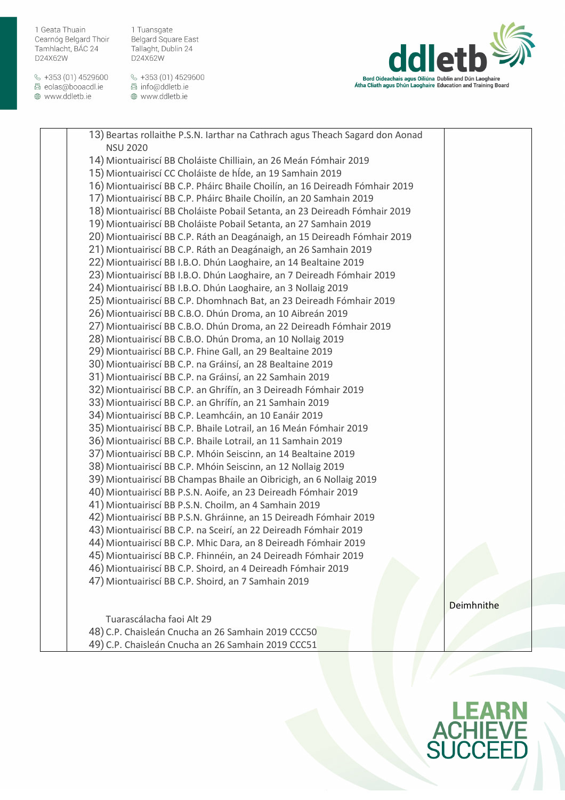$\&$  +353 (01) 4529600 圆 eolas@booacdl.ie

www.ddletb.ie

1 Tuansgate Belgard Square East Tallaght, Dublin 24 D24X62W

§ +353 (01) 4529600 圆 info@ddletb.ie www.ddletb.ie



| 13) Beartas rollaithe P.S.N. Iarthar na Cathrach agus Theach Sagard don Aonad<br><b>NSU 2020</b> |                   |
|--------------------------------------------------------------------------------------------------|-------------------|
| 14) Miontuairiscí BB Choláiste Chilliain, an 26 Meán Fómhair 2019                                |                   |
| 15) Miontuairiscí CC Choláiste de híde, an 19 Samhain 2019                                       |                   |
| 16) Miontuairiscí BB C.P. Pháirc Bhaile Choilín, an 16 Deireadh Fómhair 2019                     |                   |
| 17) Miontuairiscí BB C.P. Pháirc Bhaile Choilín, an 20 Samhain 2019                              |                   |
| 18) Miontuairiscí BB Choláiste Pobail Setanta, an 23 Deireadh Fómhair 2019                       |                   |
| 19) Miontuairiscí BB Choláiste Pobail Setanta, an 27 Samhain 2019                                |                   |
| 20) Miontuairiscí BB C.P. Ráth an Deagánaigh, an 15 Deireadh Fómhair 2019                        |                   |
| 21) Miontuairiscí BB C.P. Ráth an Deagánaigh, an 26 Samhain 2019                                 |                   |
| 22) Miontuairiscí BB I.B.O. Dhún Laoghaire, an 14 Bealtaine 2019                                 |                   |
| 23) Miontuairiscí BB I.B.O. Dhún Laoghaire, an 7 Deireadh Fómhair 2019                           |                   |
| 24) Miontuairiscí BB I.B.O. Dhún Laoghaire, an 3 Nollaig 2019                                    |                   |
| 25) Miontuairiscí BB C.P. Dhomhnach Bat, an 23 Deireadh Fómhair 2019                             |                   |
| 26) Miontuairiscí BB C.B.O. Dhún Droma, an 10 Aibreán 2019                                       |                   |
| 27) Miontuairiscí BB C.B.O. Dhún Droma, an 22 Deireadh Fómhair 2019                              |                   |
| 28) Miontuairiscí BB C.B.O. Dhún Droma, an 10 Nollaig 2019                                       |                   |
| 29) Miontuairiscí BB C.P. Fhine Gall, an 29 Bealtaine 2019                                       |                   |
| 30) Miontuairiscí BB C.P. na Gráinsí, an 28 Bealtaine 2019                                       |                   |
| 31) Miontuairiscí BB C.P. na Gráinsí, an 22 Samhain 2019                                         |                   |
| 32) Miontuairiscí BB C.P. an Ghrífín, an 3 Deireadh Fómhair 2019                                 |                   |
| 33) Miontuairiscí BB C.P. an Ghrífín, an 21 Samhain 2019                                         |                   |
| 34) Miontuairiscí BB C.P. Leamhcáin, an 10 Eanáir 2019                                           |                   |
| 35) Miontuairiscí BB C.P. Bhaile Lotrail, an 16 Meán Fómhair 2019                                |                   |
| 36) Miontuairiscí BB C.P. Bhaile Lotrail, an 11 Samhain 2019                                     |                   |
| 37) Miontuairiscí BB C.P. Mhóin Seiscinn, an 14 Bealtaine 2019                                   |                   |
| 38) Miontuairiscí BB C.P. Mhóin Seiscinn, an 12 Nollaig 2019                                     |                   |
| 39) Miontuairiscí BB Champas Bhaile an Oibricigh, an 6 Nollaig 2019                              |                   |
| 40) Miontuairiscí BB P.S.N. Aoife, an 23 Deireadh Fómhair 2019                                   |                   |
| 41) Miontuairiscí BB P.S.N. Choilm, an 4 Samhain 2019                                            |                   |
| 42) Miontuairiscí BB P.S.N. Ghráinne, an 15 Deireadh Fómhair 2019                                |                   |
| 43) Miontuairiscí BB C.P. na Sceirí, an 22 Deireadh Fómhair 2019                                 |                   |
| 44) Miontuairiscí BB C.P. Mhic Dara, an 8 Deireadh Fómhair 2019                                  |                   |
| 45) Miontuairiscí BB C.P. Fhinnéin, an 24 Deireadh Fómhair 2019                                  |                   |
| 46) Miontuairiscí BB C.P. Shoird, an 4 Deireadh Fómhair 2019                                     |                   |
| 47) Miontuairiscí BB C.P. Shoird, an 7 Samhain 2019                                              |                   |
|                                                                                                  | <b>Deimhnithe</b> |
|                                                                                                  |                   |
| Tuarascálacha faoi Alt 29<br>48) C.P. Chaisleán Cnucha an 26 Samhain 2019 CCC50                  |                   |
|                                                                                                  |                   |

49) C.P. Chaisleán Cnucha an 26 Samhain 2019 CCC51

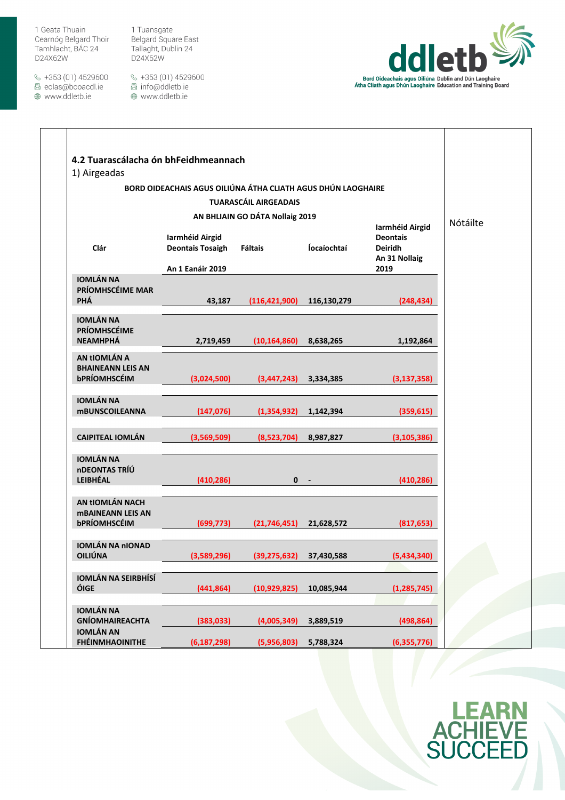$\&$  +353 (01) 4529600 圆 eolas@booacdl.ie

www.ddletb.ie

1 Tuansgate Pridansgate<br>Belgard Square East<br>Tallaght, Dublin 24 D24X62W



| 4.2 Tuarascálacha ón bhFeidhmeannach                               |                                                                |                                 |                    |                                                                               |          |
|--------------------------------------------------------------------|----------------------------------------------------------------|---------------------------------|--------------------|-------------------------------------------------------------------------------|----------|
| 1) Airgeadas                                                       |                                                                |                                 |                    |                                                                               |          |
|                                                                    | BORD OIDEACHAIS AGUS OILIÚNA ÁTHA CLIATH AGUS DHÚN LAOGHAIRE   |                                 |                    |                                                                               |          |
|                                                                    |                                                                | <b>TUARASCÁIL AIRGEADAIS</b>    |                    |                                                                               |          |
|                                                                    |                                                                | AN BHLIAIN GO DÁTA Nollaig 2019 |                    |                                                                               | Nótáilte |
| Clár                                                               | Iarmhéid Airgid<br><b>Deontais Tosaigh</b><br>An 1 Eanáir 2019 | <b>Fáltais</b>                  | <b>Íocaíochtaí</b> | Iarmhéid Airgid<br><b>Deontais</b><br><b>Deiridh</b><br>An 31 Nollaig<br>2019 |          |
| <b>IOMLÁN NA</b><br>PRÍOMHSCÉIME MAR<br><b>PHÁ</b>                 | 43,187                                                         | (116, 421, 900)                 | 116,130,279        | (248, 434)                                                                    |          |
| <b>IOMLÁN NA</b><br><b>PRÍOMHSCÉIME</b><br><b>NEAMHPHÁ</b>         | 2,719,459                                                      | (10, 164, 860)                  | 8,638,265          | 1,192,864                                                                     |          |
| AN tIOMLÁN A<br><b>BHAINEANN LEIS AN</b><br><b>bPRÍOMHSCÉIM</b>    | (3,024,500)                                                    | (3,447,243)                     | 3,334,385          | (3, 137, 358)                                                                 |          |
| <b>IOMLÁN NA</b><br><b>mBUNSCOILEANNA</b>                          | (147, 076)                                                     | (1,354,932)                     | 1,142,394          | (359, 615)                                                                    |          |
| <b>CAIPITEAL IOMLÁN</b>                                            | (3,569,509)                                                    | (8,523,704)                     | 8,987,827          | (3, 105, 386)                                                                 |          |
| <b>IOMLÁN NA</b><br>nDEONTAS TRÍÚ<br><b>LEIBHÉAL</b>               | (410, 286)                                                     | $0 -$                           |                    | (410, 286)                                                                    |          |
| AN tIOMLÁN NACH<br><b>MBAINEANN LEIS AN</b><br><b>bPRÍOMHSCÉIM</b> | (699, 773)                                                     | (21,746,451)                    | 21,628,572         | (817, 653)                                                                    |          |
| <b>IOMLÁN NA nIONAD</b><br><b>OILIUNA</b>                          | (3,589,296)                                                    | (39, 275, 632)                  | 37,430,588         | (5,434,340)                                                                   |          |
| IOMLÁN NA SEIRBHÍSÍ<br><b>ÓIGE</b>                                 | (441, 864)                                                     | (10,929,825)                    | 10,085,944         | (1, 285, 745)                                                                 |          |
| <b>IOMLÁN NA</b><br><b>GNÍOMHAIREACHTA</b><br><b>IOMLÁN AN</b>     | (383, 033)                                                     | (4,005,349)                     | 3,889,519          | (498, 864)                                                                    |          |
| <b>FHÉINMHAOINITHE</b>                                             | (6, 187, 298)                                                  | (5,956,803)                     | 5,788,324          | (6,355,776)                                                                   |          |

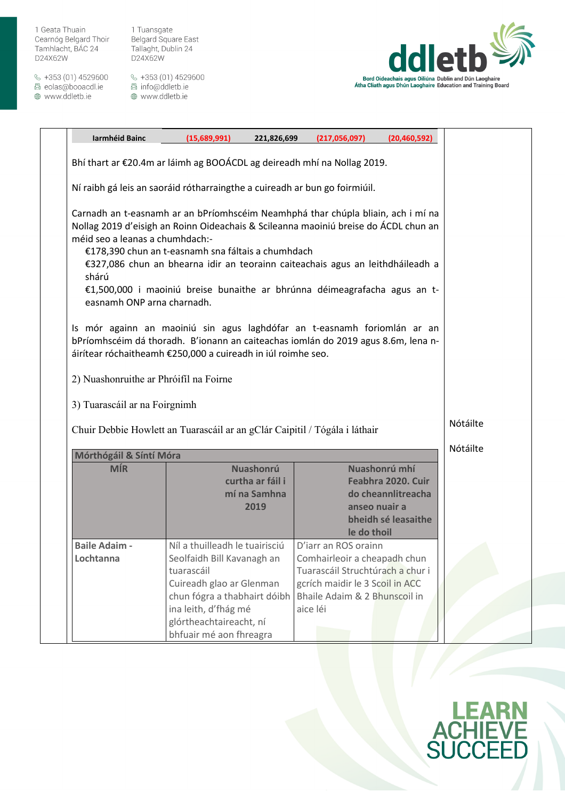$\&$  +353 (01) 4529600 圆 eolas@booacdl.ie

www.ddletb.ie

1 Tuansgate Belgard Square East Tallaght, Dublin 24 D24X62W



| Iarmhéid Bainc                                                                                                                                                                                                                                                                                                                                                                                                                                                         | (15,689,991)<br>221,826,699                                                                                                                                                                                                   | (217,056,097)                                                                                       | (20, 460, 592)                                                                   |  |  |  |
|------------------------------------------------------------------------------------------------------------------------------------------------------------------------------------------------------------------------------------------------------------------------------------------------------------------------------------------------------------------------------------------------------------------------------------------------------------------------|-------------------------------------------------------------------------------------------------------------------------------------------------------------------------------------------------------------------------------|-----------------------------------------------------------------------------------------------------|----------------------------------------------------------------------------------|--|--|--|
|                                                                                                                                                                                                                                                                                                                                                                                                                                                                        | Bhí thart ar €20.4m ar láimh ag BOOÁCDL ag deireadh mhí na Nollag 2019.                                                                                                                                                       |                                                                                                     |                                                                                  |  |  |  |
|                                                                                                                                                                                                                                                                                                                                                                                                                                                                        | Ní raibh gá leis an saoráid rótharraingthe a cuireadh ar bun go foirmiúil.                                                                                                                                                    |                                                                                                     |                                                                                  |  |  |  |
| Carnadh an t-easnamh ar an bPríomhscéim Neamhphá thar chúpla bliain, ach i mí na<br>Nollag 2019 d'eisigh an Roinn Oideachais & Scileanna maoiniú breise do ÁCDL chun an<br>méid seo a leanas a chumhdach:-<br>€178,390 chun an t-easnamh sna fáltais a chumhdach<br>€327,086 chun an bhearna idir an teorainn caiteachais agus an leithdháileadh a<br>shárú<br>€1,500,000 i maoiniú breise bunaithe ar bhrúnna déimeagrafacha agus an t-<br>easnamh ONP arna charnadh. |                                                                                                                                                                                                                               |                                                                                                     |                                                                                  |  |  |  |
| 2) Nuashonruithe ar Phróifíl na Foirne                                                                                                                                                                                                                                                                                                                                                                                                                                 | Is mór againn an maoiniú sin agus laghdófar an t-easnamh foriomlán ar an<br>bPríomhscéim dá thoradh. B'ionann an caiteachas iomlán do 2019 agus 8.6m, lena n-<br>áirítear róchaitheamh €250,000 a cuireadh in iúl roimhe seo. |                                                                                                     |                                                                                  |  |  |  |
| 3) Tuarascáil ar na Foirgnimh<br>Chuir Debbie Howlett an Tuarascáil ar an gClár Caipitil / Tógála i láthair                                                                                                                                                                                                                                                                                                                                                            | Nótáilte                                                                                                                                                                                                                      |                                                                                                     |                                                                                  |  |  |  |
| Nótáilte<br>Mórthógáil & Síntí Móra                                                                                                                                                                                                                                                                                                                                                                                                                                    |                                                                                                                                                                                                                               |                                                                                                     |                                                                                  |  |  |  |
| <b>MÍR</b>                                                                                                                                                                                                                                                                                                                                                                                                                                                             | <b>Nuashonrú</b>                                                                                                                                                                                                              |                                                                                                     | Nuashonrú mhí                                                                    |  |  |  |
|                                                                                                                                                                                                                                                                                                                                                                                                                                                                        | curtha ar fáil i<br>mí na Samhna<br>2019                                                                                                                                                                                      | le do thoil                                                                                         | Feabhra 2020. Cuir<br>do cheannlitreacha<br>anseo nuair a<br>bheidh sé leasaithe |  |  |  |
| <b>Baile Adaim -</b>                                                                                                                                                                                                                                                                                                                                                                                                                                                   | Níl a thuilleadh le tuairisciú                                                                                                                                                                                                | D'iarr an ROS orainn                                                                                |                                                                                  |  |  |  |
| Lochtanna                                                                                                                                                                                                                                                                                                                                                                                                                                                              | Seolfaidh Bill Kavanagh an<br>tuarascáil<br>Cuireadh glao ar Glenman                                                                                                                                                          | Comhairleoir a cheapadh chun<br>Tuarascáil Struchtúrach a chur i<br>gcrích maidir le 3 Scoil in ACC |                                                                                  |  |  |  |
|                                                                                                                                                                                                                                                                                                                                                                                                                                                                        | chun fógra a thabhairt dóibh                                                                                                                                                                                                  | Bhaile Adaim & 2 Bhunscoil in                                                                       |                                                                                  |  |  |  |
|                                                                                                                                                                                                                                                                                                                                                                                                                                                                        | ina leith, d'fhág mé                                                                                                                                                                                                          | aice léi                                                                                            |                                                                                  |  |  |  |
|                                                                                                                                                                                                                                                                                                                                                                                                                                                                        | glórtheachtaireacht, ní                                                                                                                                                                                                       |                                                                                                     |                                                                                  |  |  |  |
|                                                                                                                                                                                                                                                                                                                                                                                                                                                                        | bhfuair mé aon fhreagra                                                                                                                                                                                                       |                                                                                                     |                                                                                  |  |  |  |

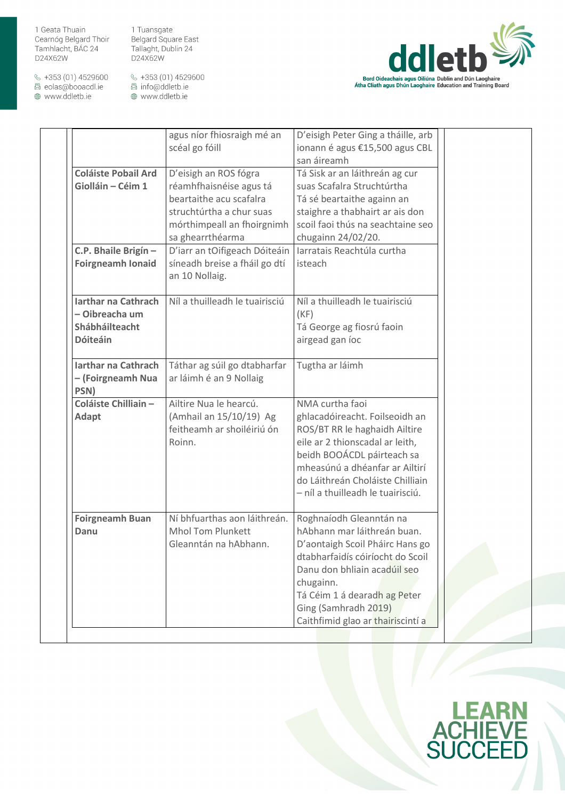1 Tuansgate Belgard Square East Tallaght, Dublin 24 D24X62W

 $\&$  +353 (01) 4529600 圆 eolas@booacdl.ie

www.ddletb.ie



|                                                                                   | agus níor fhiosraigh mé an<br>scéal go fóill                                                                                                              | D'eisigh Peter Ging a tháille, arb<br>ionann é agus €15,500 agus CBL<br>san áireamh                                                                                                                                                                                     |  |
|-----------------------------------------------------------------------------------|-----------------------------------------------------------------------------------------------------------------------------------------------------------|-------------------------------------------------------------------------------------------------------------------------------------------------------------------------------------------------------------------------------------------------------------------------|--|
| <b>Coláiste Pobail Ard</b><br>Giolláin - Céim 1                                   | D'eisigh an ROS fógra<br>réamhfhaisnéise agus tá<br>beartaithe acu scafalra<br>struchtúrtha a chur suas<br>mórthimpeall an fhoirgnimh<br>sa ghearrthéarma | Tá Sisk ar an láithreán ag cur<br>suas Scafalra Struchtúrtha<br>Tá sé beartaithe againn an<br>staighre a thabhairt ar ais don<br>scoil faoi thús na seachtaine seo<br>chugainn 24/02/20.                                                                                |  |
| C.P. Bhaile Brigín -<br><b>Foirgneamh Ionaid</b>                                  | D'iarr an tOifigeach Dóiteáin<br>síneadh breise a fháil go dtí<br>an 10 Nollaig.                                                                          | Iarratais Reachtúla curtha<br>isteach                                                                                                                                                                                                                                   |  |
| <b>Iarthar na Cathrach</b><br>- Oibreacha um<br>Shábháilteacht<br><b>Dóiteáin</b> | Níl a thuilleadh le tuairisciú                                                                                                                            | Níl a thuilleadh le tuairisciú<br>(KF)<br>Tá George ag fiosrú faoin<br>airgead gan íoc                                                                                                                                                                                  |  |
| Iarthar na Cathrach<br>- (Foirgneamh Nua<br>PSN)                                  | Táthar ag súil go dtabharfar<br>ar láimh é an 9 Nollaig                                                                                                   | Tugtha ar láimh                                                                                                                                                                                                                                                         |  |
| Coláiste Chilliain -<br>Adapt                                                     | Ailtire Nua le hearcú.<br>(Amhail an 15/10/19) Ag<br>feitheamh ar shoiléiriú ón<br>Roinn.                                                                 | NMA curtha faoi<br>ghlacadóireacht. Foilseoidh an<br>ROS/BT RR le haghaidh Ailtire<br>eile ar 2 thionscadal ar leith,<br>beidh BOOÁCDL páirteach sa<br>mheasúnú a dhéanfar ar Ailtirí<br>do Láithreán Choláiste Chilliain<br>- níl a thuilleadh le tuairisciú.          |  |
| <b>Foirgneamh Buan</b><br>Danu                                                    | Ní bhfuarthas aon láithreán.<br>Mhol Tom Plunkett<br>Gleanntán na hAbhann.                                                                                | Roghnaíodh Gleanntán na<br>hAbhann mar láithreán buan.<br>D'aontaigh Scoil Pháirc Hans go<br>dtabharfaidís cóiríocht do Scoil<br>Danu don bhliain acadúil seo<br>chugainn.<br>Tá Céim 1 á dearadh ag Peter<br>Ging (Samhradh 2019)<br>Caithfimid glao ar thairiscintí a |  |

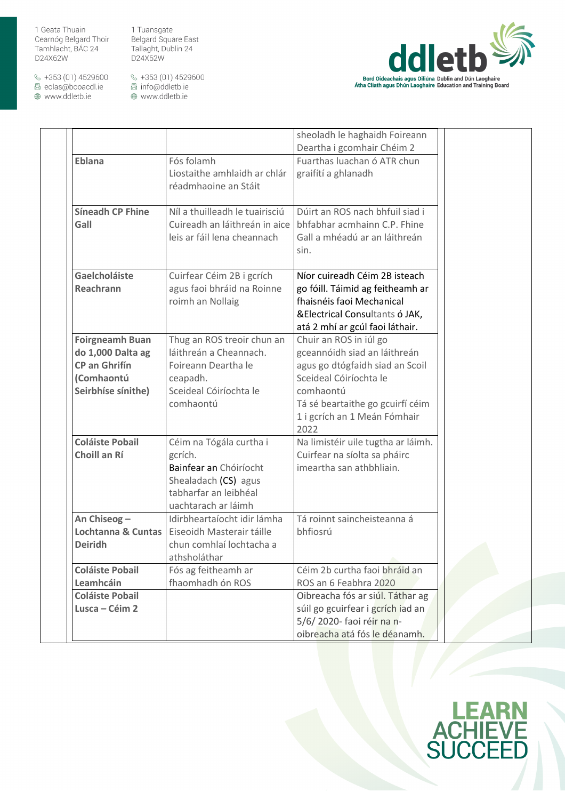$\&$  +353 (01) 4529600 圆 eolas@booacdl.ie

www.ddletb.ie

1 Tuansgate Belgard Square East Tallaght, Dublin 24 D24X62W



|                                                                                                         |                                                                                                                                      | sheoladh le haghaidh Foireann<br>Deartha i gcomhair Chéim 2                                                                                                                                                  |  |
|---------------------------------------------------------------------------------------------------------|--------------------------------------------------------------------------------------------------------------------------------------|--------------------------------------------------------------------------------------------------------------------------------------------------------------------------------------------------------------|--|
| Eblana                                                                                                  | Fós folamh<br>Liostaithe amhlaidh ar chlár<br>réadmhaoine an Stáit                                                                   | Fuarthas luachan ó ATR chun<br>graifítí a ghlanadh                                                                                                                                                           |  |
| <b>Síneadh CP Fhine</b><br>Gall                                                                         | Níl a thuilleadh le tuairisciú<br>Cuireadh an láithreán in aice<br>leis ar fáil lena cheannach                                       | Dúirt an ROS nach bhfuil siad i<br>bhfabhar acmhainn C.P. Fhine<br>Gall a mhéadú ar an láithreán<br>sin.                                                                                                     |  |
| Gaelcholáiste<br>Reachrann                                                                              | Cuirfear Céim 2B i gcrích<br>agus faoi bhráid na Roinne<br>roimh an Nollaig                                                          | Níor cuireadh Céim 2B isteach<br>go fóill. Táimid ag feitheamh ar<br>fhaisnéis faoi Mechanical<br>&Electrical Consultants ó JAK,<br>atá 2 mhí ar gcúl faoi láthair.                                          |  |
| <b>Foirgneamh Buan</b><br>do 1,000 Dalta ag<br><b>CP an Ghrifín</b><br>(Comhaontú<br>Seirbhíse sínithe) | Thug an ROS treoir chun an<br>láithreán a Cheannach.<br>Foireann Deartha le<br>ceapadh.<br>Sceideal Cóiríochta le<br>comhaontú       | Chuir an ROS in iúl go<br>gceannóidh siad an láithreán<br>agus go dtógfaidh siad an Scoil<br>Sceideal Cóiríochta le<br>comhaontú<br>Tá sé beartaithe go gcuirfí céim<br>1 i gcrích an 1 Meán Fómhair<br>2022 |  |
| <b>Coláiste Pobail</b><br>Choill an Rí                                                                  | Céim na Tógála curtha i<br>gcrích.<br>Bainfear an Chóiríocht<br>Shealadach (CS) agus<br>tabharfar an leibhéal<br>uachtarach ar láimh | Na limistéir uile tugtha ar láimh.<br>Cuirfear na síolta sa pháirc<br>imeartha san athbhliain.                                                                                                               |  |
| An Chiseog-<br>Lochtanna & Cuntas<br><b>Deiridh</b>                                                     | Idirbheartaíocht idir lámha<br>Eiseoidh Masterair táille<br>chun comhlaí lochtacha a<br>athsholáthar                                 | Tá roinnt saincheisteanna á<br>bhfiosrú                                                                                                                                                                      |  |
| <b>Coláiste Pobail</b><br>Leamhcáin                                                                     | Fós ag feitheamh ar<br>fhaomhadh ón ROS                                                                                              | Céim 2b curtha faoi bhráid an<br>ROS an 6 Feabhra 2020                                                                                                                                                       |  |
| <b>Coláiste Pobail</b>                                                                                  |                                                                                                                                      | Oibreacha fós ar siúl. Táthar ag                                                                                                                                                                             |  |
| Lusca - Céim 2                                                                                          |                                                                                                                                      | súil go gcuirfear i gcrích iad an<br>5/6/2020-faoi réir na n-<br>oibreacha atá fós le déanamh.                                                                                                               |  |

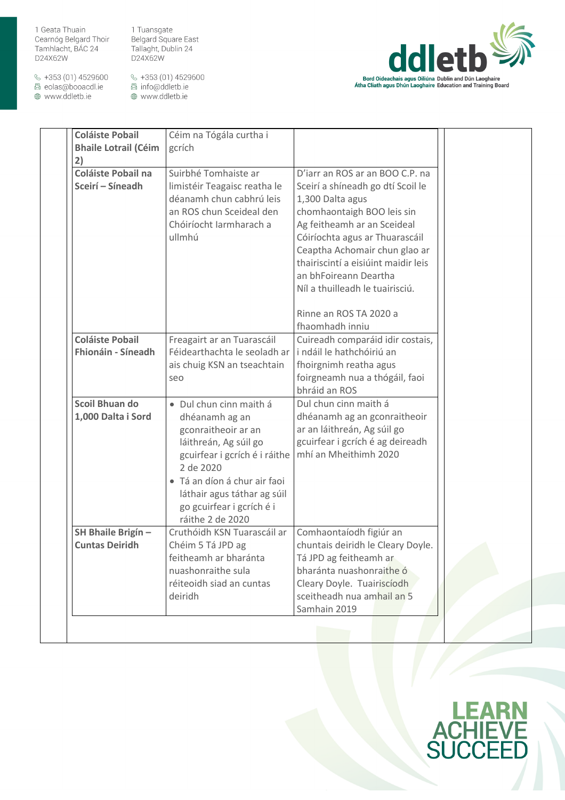1 Tuansgate Belgard Square East Tallaght, Dublin 24 D24X62W

 $\&$  +353 (01) 4529600 圆 eolas@booacdl.ie

www.ddletb.ie



| <b>Coláiste Pobail</b>                 | Céim na Tógála curtha i                                                                                                                                                                                                      |                                                                                                                                                                                                                                                                                                                                                       |  |
|----------------------------------------|------------------------------------------------------------------------------------------------------------------------------------------------------------------------------------------------------------------------------|-------------------------------------------------------------------------------------------------------------------------------------------------------------------------------------------------------------------------------------------------------------------------------------------------------------------------------------------------------|--|
| <b>Bhaile Lotrail (Céim</b>            | gcrích                                                                                                                                                                                                                       |                                                                                                                                                                                                                                                                                                                                                       |  |
| 2)                                     |                                                                                                                                                                                                                              |                                                                                                                                                                                                                                                                                                                                                       |  |
| Coláiste Pobail na<br>Sceirí - Síneadh | Suirbhé Tomhaiste ar<br>limistéir Teagaisc reatha le<br>déanamh chun cabhrú leis<br>an ROS chun Sceideal den<br>Chóiríocht Iarmharach a<br>ullmhú                                                                            | D'iarr an ROS ar an BOO C.P. na<br>Sceirí a shíneadh go dtí Scoil le<br>1,300 Dalta agus<br>chomhaontaigh BOO leis sin<br>Ag feitheamh ar an Sceideal<br>Cóiríochta agus ar Thuarascáil<br>Ceaptha Achomair chun glao ar<br>thairiscintí a eisiúint maidir leis<br>an bhFoireann Deartha<br>Níl a thuilleadh le tuairisciú.<br>Rinne an ROS TA 2020 a |  |
|                                        |                                                                                                                                                                                                                              | fhaomhadh inniu                                                                                                                                                                                                                                                                                                                                       |  |
| <b>Coláiste Pobail</b>                 | Freagairt ar an Tuarascáil                                                                                                                                                                                                   | Cuireadh comparáid idir costais,                                                                                                                                                                                                                                                                                                                      |  |
| Fhionáin - Síneadh                     | Féidearthachta le seoladh ar<br>ais chuig KSN an tseachtain<br>seo                                                                                                                                                           | i ndáil le hathchóiriú an<br>fhoirgnimh reatha agus<br>foirgneamh nua a thógáil, faoi<br>bhráid an ROS                                                                                                                                                                                                                                                |  |
| Scoil Bhuan do                         | · Dul chun cinn maith á                                                                                                                                                                                                      | Dul chun cinn maith á                                                                                                                                                                                                                                                                                                                                 |  |
| 1,000 Dalta i Sord                     | dhéanamh ag an<br>gconraitheoir ar an<br>láithreán, Ag súil go<br>gcuirfear i gcrích é i ráithe<br>2 de 2020<br>· Tá an díon á chur air faoi<br>láthair agus táthar ag súil<br>go gcuirfear i gcrích é i<br>ráithe 2 de 2020 | dhéanamh ag an gconraitheoir<br>ar an láithreán, Ag súil go<br>gcuirfear i gcrích é ag deireadh<br>mhí an Mheithimh 2020                                                                                                                                                                                                                              |  |
| SH Bhaile Brigín -                     | Cruthóidh KSN Tuarascáil ar                                                                                                                                                                                                  | Comhaontaíodh figiúr an                                                                                                                                                                                                                                                                                                                               |  |
| <b>Cuntas Deiridh</b>                  | Chéim 5 Tá JPD ag<br>feitheamh ar bharánta<br>nuashonraithe sula<br>réiteoidh siad an cuntas                                                                                                                                 | chuntais deiridh le Cleary Doyle.<br>Tá JPD ag feitheamh ar<br>bharánta nuashonraithe ó<br>Cleary Doyle. Tuairiscíodh                                                                                                                                                                                                                                 |  |
|                                        | deiridh                                                                                                                                                                                                                      | sceitheadh nua amhail an 5<br>Samhain 2019                                                                                                                                                                                                                                                                                                            |  |

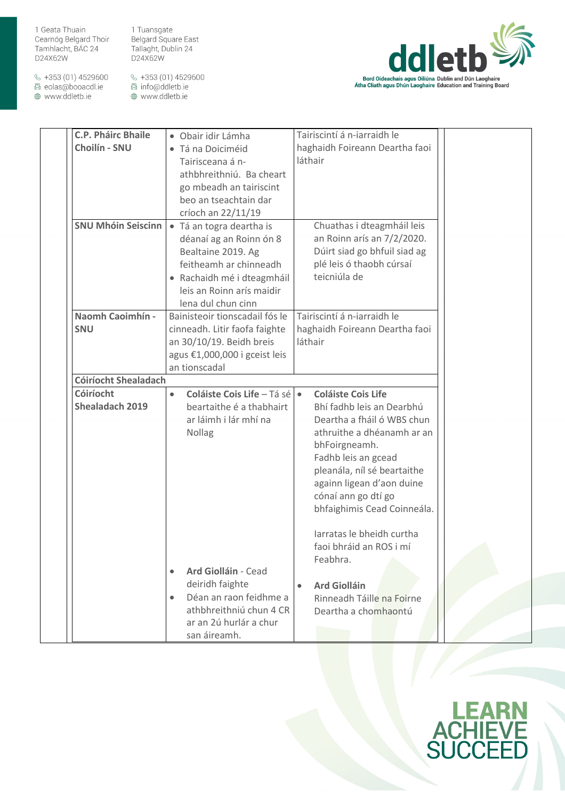1 Tuansgate Belgard Square East Tallaght, Dublin 24 D24X62W

 $\&$  +353 (01) 4529600 圆 eolas@booacdl.ie

www.ddletb.ie



| <b>C.P. Pháirc Bhaile</b><br>Choilín - SNU                  | · Obair idir Lámha<br>· Tá na Doiciméid<br>Tairisceana á n-<br>athbhreithniú. Ba cheart<br>go mbeadh an tairiscint<br>beo an tseachtain dar<br>críoch an 22/11/19                    | Tairiscintí á n-iarraidh le<br>haghaidh Foireann Deartha faoi<br>láthair                                                                                                                                                                                                                                                                  |  |
|-------------------------------------------------------------|--------------------------------------------------------------------------------------------------------------------------------------------------------------------------------------|-------------------------------------------------------------------------------------------------------------------------------------------------------------------------------------------------------------------------------------------------------------------------------------------------------------------------------------------|--|
| <b>SNU Mhóin Seiscinn</b>                                   | · Tá an togra deartha is<br>déanaí ag an Roinn ón 8<br>Bealtaine 2019. Ag<br>feitheamh ar chinneadh<br>• Rachaidh mé i dteagmháil<br>leis an Roinn arís maidir<br>lena dul chun cinn | Chuathas i dteagmháil leis<br>an Roinn arís an 7/2/2020.<br>Dúirt siad go bhfuil siad ag<br>plé leis ó thaobh cúrsaí<br>teicniúla de                                                                                                                                                                                                      |  |
| Naomh Caoimhín -<br>SNU                                     | Bainisteoir tionscadail fós le<br>cinneadh. Litir faofa faighte<br>an 30/10/19. Beidh breis<br>agus €1,000,000 i gceist leis<br>an tionscadal                                        | Tairiscintí á n-iarraidh le<br>haghaidh Foireann Deartha faoi<br>láthair                                                                                                                                                                                                                                                                  |  |
| <b>Cóiríocht Shealadach</b><br>Cóiríocht<br>Shealadach 2019 | Coláiste Cois Life - Tá sé ·<br>beartaithe é a thabhairt<br>ar láimh i lár mhí na<br><b>Nollag</b>                                                                                   | Coláiste Cois Life<br>Bhí fadhb leis an Dearbhú<br>Deartha a fháil ó WBS chun<br>athruithe a dhéanamh ar an<br>bhFoirgneamh.<br>Fadhb leis an gcead<br>pleanála, níl sé beartaithe<br>againn ligean d'aon duine<br>cónaí ann go dtí go<br>bhfaighimis Cead Coinneála.<br>Jarratas le bheidh curtha<br>faoi bhráid an ROS i mí<br>Feabhra. |  |
|                                                             | Ard Giolláin - Cead<br>$\bullet$<br>deiridh faighte<br>Déan an raon feidhme a<br>athbhreithniú chun 4 CR<br>ar an 2ú hurlár a chur<br>san áireamh.                                   | <b>Ard Giolláin</b><br>Rinneadh Táille na Foirne<br>Deartha a chomhaontú                                                                                                                                                                                                                                                                  |  |

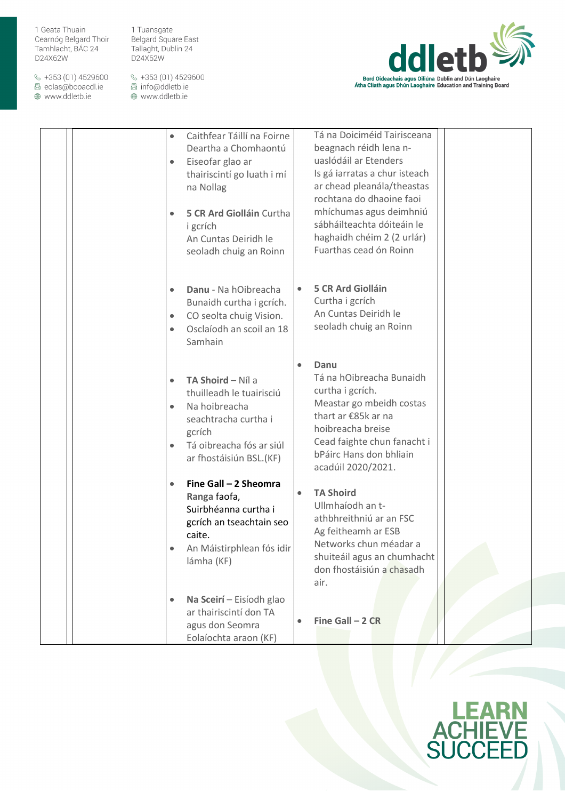$\&$  +353 (01) 4529600 圆 eolas@booacdl.ie

www.ddletb.ie

1 Tuansgate Belgard Square East Deigard Square<br>Tallaght, Dublin 24<br>D24X62W



| Tá na Doiciméid Tairisceana<br>Caithfear Táillí na Foirne<br>$\bullet$<br>Deartha a Chomhaontú<br>beagnach réidh lena n-<br>uaslódáil ar Etenders<br>Eiseofar glao ar<br>$\bullet$<br>Is gá iarratas a chur isteach<br>thairiscintí go luath i mí<br>ar chead pleanála/theastas<br>na Nollag<br>rochtana do dhaoine faoi<br>mhíchumas agus deimhniú<br>5 CR Ard Giolláin Curtha<br>$\bullet$<br>sábháilteachta dóiteáin le<br><i>i</i> gcrích<br>haghaidh chéim 2 (2 urlár)<br>An Cuntas Deiridh le<br>Fuarthas cead ón Roinn<br>seoladh chuig an Roinn |
|---------------------------------------------------------------------------------------------------------------------------------------------------------------------------------------------------------------------------------------------------------------------------------------------------------------------------------------------------------------------------------------------------------------------------------------------------------------------------------------------------------------------------------------------------------|
| <b>5 CR Ard Giolláin</b><br>$\bullet$<br>Danu - Na hOibreacha<br>$\bullet$<br>Curtha i gcrích<br>Bunaidh curtha i gcrích.<br>An Cuntas Deiridh le<br>CO seolta chuig Vision.<br>$\bullet$<br>seoladh chuig an Roinn<br>Osclaíodh an scoil an 18<br>$\bullet$<br>Samhain                                                                                                                                                                                                                                                                                 |
| Danu<br>$\bullet$<br>Tá na hOibreacha Bunaidh<br>TA Shoird - Níl a<br>$\bullet$<br>curtha i gcrích.<br>thuilleadh le tuairisciú<br>Meastar go mbeidh costas<br>Na hoibreacha<br>$\bullet$<br>thart ar €85k ar na<br>seachtracha curtha i<br>hoibreacha breise<br>gcrích<br>Cead faighte chun fanacht i<br>Tá oibreacha fós ar siúl<br>$\bullet$<br>bPáirc Hans don bhliain<br>ar fhostáisiún BSL.(KF)<br>acadúil 2020/2021.                                                                                                                             |
| Fine Gall - 2 Sheomra<br>$\bullet$<br><b>TA Shoird</b><br>$\bullet$<br>Ranga faofa,<br>Ullmhaíodh an t-<br>Suirbhéanna curtha i<br>athbhreithniú ar an FSC<br>gcrích an tseachtain seo<br>Ag feitheamh ar ESB<br>caite.<br>Networks chun méadar a<br>An Máistirphlean fós idir<br>shuiteáil agus an chumhacht<br>lámha (KF)<br>don fhostáisiún a chasadh<br>air.                                                                                                                                                                                        |
| Na Sceirí - Eisíodh glao<br>ar thairiscintí don TA<br>Fine Gall $-2$ CR<br>agus don Seomra<br>Eolaíochta araon (KF)                                                                                                                                                                                                                                                                                                                                                                                                                                     |

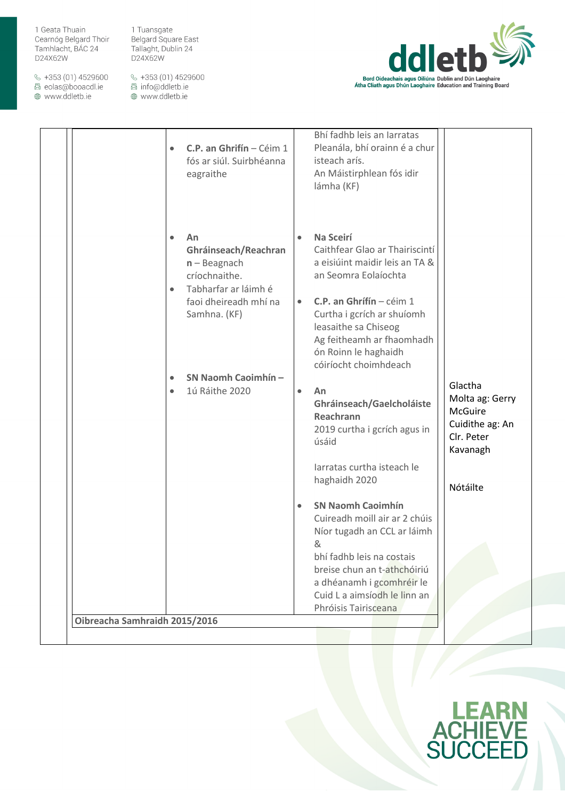$\&$  +353 (01) 4529600 圆 eolas@booacdl.ie

www.ddletb.ie

1 Tuansgate Belgard Square East Tallaght, Dublin 24 D24X62W



| An<br>$\bullet$<br>$\bullet$<br>Caithfear Glao ar Thairiscintí<br>Ghráinseach/Reachran<br>a eisiúint maidir leis an TA &<br>$n -$ Beagnach<br>críochnaithe.<br>an Seomra Eolaíochta<br>Tabharfar ar láimh é<br>$\bullet$<br>C.P. an Ghrífín - céim $1$<br>faoi dheireadh mhí na<br>$\bullet$<br>Curtha i gcrích ar shuíomh<br>Samhna. (KF)<br>leasaithe sa Chiseog<br>Ag feitheamh ar fhaomhadh<br>ón Roinn le haghaidh<br>cóiríocht choimhdeach<br>SN Naomh Caoimhín -<br>$\bullet$<br>Glactha<br>1ú Ráithe 2020<br>An<br>$\bullet$<br>$\bullet$<br>Ghráinseach/Gaelcholáiste<br>McGuire<br>Reachrann<br>2019 curtha i gcrích agus in<br>Clr. Peter<br>úsáid<br>Kavanagh<br>Iarratas curtha isteach le<br>haghaidh 2020<br>Nótáilte<br><b>SN Naomh Caoimhín</b><br>$\bullet$<br>Cuireadh moill air ar 2 chúis<br>Níor tugadh an CCL ar láimh<br>&<br>bhí fadhb leis na costais<br>breise chun an t-athchóiriú<br>a dhéanamh i gcomhréir le<br>Cuid L a aimsíodh le linn an | C.P. an Ghrifín - Céim 1<br>$\bullet$<br>fós ar siúl. Suirbhéanna<br>eagraithe | Bhí fadhb leis an Iarratas<br>Pleanála, bhí orainn é a chur<br>isteach arís.<br>An Máistirphlean fós idir<br>lámha (KF) |                                    |
|-----------------------------------------------------------------------------------------------------------------------------------------------------------------------------------------------------------------------------------------------------------------------------------------------------------------------------------------------------------------------------------------------------------------------------------------------------------------------------------------------------------------------------------------------------------------------------------------------------------------------------------------------------------------------------------------------------------------------------------------------------------------------------------------------------------------------------------------------------------------------------------------------------------------------------------------------------------------------------|--------------------------------------------------------------------------------|-------------------------------------------------------------------------------------------------------------------------|------------------------------------|
|                                                                                                                                                                                                                                                                                                                                                                                                                                                                                                                                                                                                                                                                                                                                                                                                                                                                                                                                                                             |                                                                                | Na Sceirí                                                                                                               |                                    |
|                                                                                                                                                                                                                                                                                                                                                                                                                                                                                                                                                                                                                                                                                                                                                                                                                                                                                                                                                                             |                                                                                |                                                                                                                         | Molta ag: Gerry<br>Cuidithe ag: An |
|                                                                                                                                                                                                                                                                                                                                                                                                                                                                                                                                                                                                                                                                                                                                                                                                                                                                                                                                                                             |                                                                                | Phróisis Tairisceana                                                                                                    |                                    |
| Oibreacha Samhraidh 2015/2016                                                                                                                                                                                                                                                                                                                                                                                                                                                                                                                                                                                                                                                                                                                                                                                                                                                                                                                                               |                                                                                |                                                                                                                         |                                    |

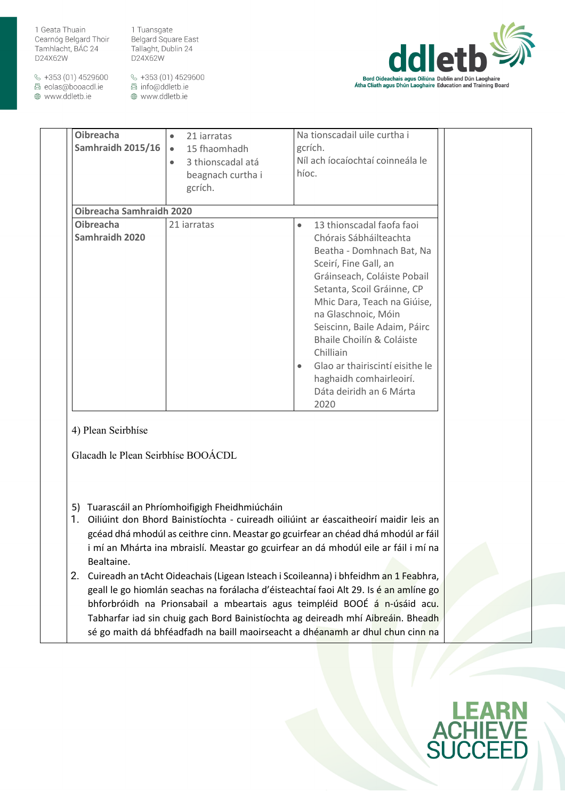1 Tuansgate Belgard Square East Tallaght, Dublin 24 D24X62W

 $\&$  +353 (01) 4529600 圆 eolas@booacdl.ie

⊕ www.ddletb.ie

§ +353 (01) 4529600 圆 info@ddletb.ie

⊕ www.ddletb.ie



- 5) Tuarascáil an Phríomhoifigigh Fheidhmiúcháin
- 1. Oiliúint don Bhord Bainistíochta cuireadh oiliúint ar éascaitheoirí maidir leis an gcéad dhá mhodúl as ceithre cinn. Meastar go gcuirfear an chéad dhá mhodúl ar fáil i mí an Mhárta ina mbraislí. Meastar go gcuirfear an dá mhodúl eile ar fáil i mí na Bealtaine.
- 2. Cuireadh an tAcht Oideachais (Ligean Isteach i Scoileanna) i bhfeidhm an 1 Feabhra, geall le go hiomlán seachas na forálacha d'éisteachtaí faoi Alt 29. Is é an amlíne go bhforbróidh na Prionsabail a mbeartais agus teimpléid BOOÉ á n-úsáid acu. Tabharfar iad sin chuig gach Bord Bainistíochta ag deireadh mhí Aibreáin. Bheadh sé go maith dá bhféadfadh na baill maoirseacht a dhéanamh ar dhul chun cinn na

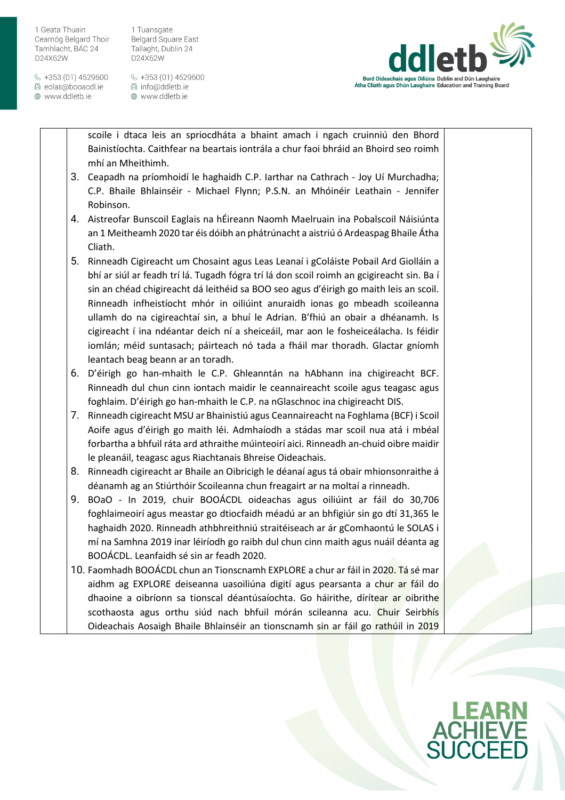$\frac{1}{2}$  +353 (01) 4529600 圆 eolas@booacdl.ie

⊕ www.ddletb.ie

1 Tuansgate **Belgard Square East** Tallaght, Dublin 24 D24X62W

§ +353 (01) 4529600 圆 info@ddletb.ie www.ddletb.ie



scoile i dtaca leis an spriocdháta a bhaint amach i ngach cruinniú den Bhord Bainistíochta. Caithfear na beartais iontrála a chur faoi bhráid an Bhoird seo roimh mhí an Mheithimh.

- 3. Ceapadh na príomhoidí le haghaidh C.P. Iarthar na Cathrach Joy Uí Murchadha; C.P. Bhaile Bhlainséir - Michael Flynn; P.S.N. an Mhóinéir Leathain - Jennifer Robinson.
- 4. Aistreofar Bunscoil Eaglais na hÉireann Naomh Maelruain ina Pobalscoil Náisiúnta an 1 Meitheamh 2020 tar éis dóibh an phátrúnacht a aistriú ó Ardeaspag Bhaile Átha Cliath.
- 5. Rinneadh Cigireacht um Chosaint agus Leas Leanaí i gColáiste Pobail Ard Giolláin a bhí ar siúl ar feadh trí lá. Tugadh fógra trí lá don scoil roimh an gcigireacht sin. Ba í sin an chéad chigireacht dá leithéid sa BOO seo agus d'éirigh go maith leis an scoil. Rinneadh infheistíocht mhór in oiliúint anuraidh ionas go mbeadh scoileanna ullamh do na cigireachtaí sin, a bhuí le Adrian. B'fhiú an obair a dhéanamh. Is cigireacht í ina ndéantar deich ní a sheiceáil, mar aon le fosheiceálacha. Is féidir iomlán; méid suntasach; páirteach nó tada a fháil mar thoradh. Glactar gníomh leantach beag beann ar an toradh.
- 6. D'éirigh go han-mhaith le C.P. Ghleanntán na hAbhann ina chigireacht BCF. Rinneadh dul chun cinn iontach maidir le ceannaireacht scoile agus teagasc agus foghlaim. D'éirigh go han-mhaith le C.P. na nGlaschnoc ina chigireacht DIS.
- 7. Rinneadh cigireacht MSU ar Bhainistiú agus Ceannaireacht na Foghlama (BCF) i Scoil Aoife agus d'éirigh go maith léi. Admhaíodh a stádas mar scoil nua atá i mbéal forbartha a bhfuil ráta ard athraithe múinteoirí aici. Rinneadh an-chuid oibre maidir le pleanáil, teagasc agus Riachtanais Bhreise Oideachais.
- 8. Rinneadh cigireacht ar Bhaile an Oibricigh le déanaí agus tá obair mhionsonraithe á déanamh ag an Stiúrthóir Scoileanna chun freagairt ar na moltaí a rinneadh.
- 9. BOaO In 2019, chuir BOOÁCDL oideachas agus oiliúint ar fáil do 30,706 foghlaimeoirí agus meastar go dtiocfaidh méadú ar an bhfigiúr sin go dtí 31,365 le haghaidh 2020. Rinneadh athbhreithniú straitéiseach ar ár gComhaontú le SOLAS i mí na Samhna 2019 inar léiríodh go raibh dul chun cinn maith agus nuáil déanta ag BOOÁCDL. Leanfaidh sé sin ar feadh 2020.
- 10. Faomhadh BOOÁCDL chun an Tionscnamh EXPLORE a chur ar fáil in 2020. Tá sé mar aidhm ag EXPLORE deiseanna uasoiliúna digití agus pearsanta a chur ar fáil do dhaoine a oibríonn sa tionscal déantúsaíochta. Go háirithe, dírítear ar oibrithe scothaosta agus orthu siúd nach bhfuil mórán scileanna acu. Chuir Seirbhís Oideachais Aosaigh Bhaile Bhlainséir an tionscnamh sin ar fáil go rathúil in 2019

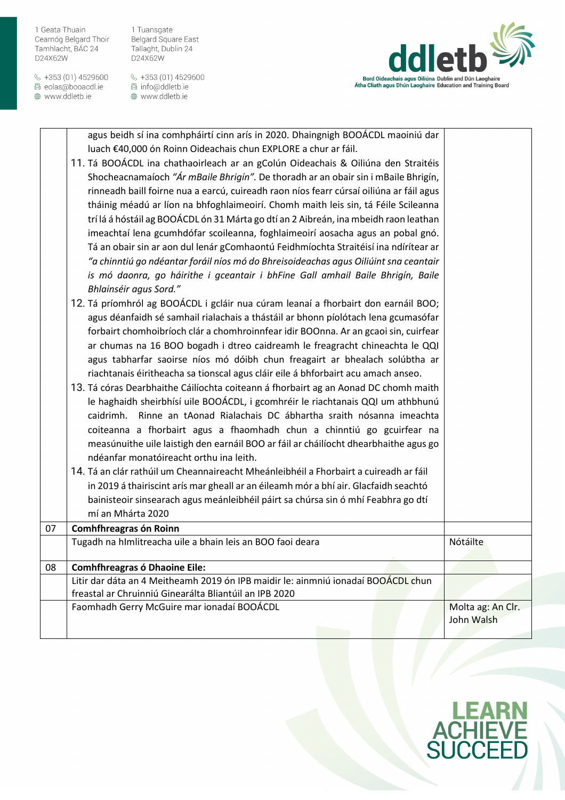$\&$  +353 (01) 4529600 圆 eolas@booacdl.ie

www.ddletb.ie

1 Tuansgate Belgard Square East Tallaght, Dublin 24 D24X62W



|    | agus beidh sí ina comhpháirtí cinn arís in 2020. Dhaingnigh BOOÁCDL maoiniú dar<br>luach €40,000 ón Roinn Oideachais chun EXPLORE a chur ar fáil.<br>11. Tá BOOÁCDL ina chathaoirleach ar an gColún Oideachais & Oiliúna den Straitéis<br>Shocheacnamaíoch "Ár mBaile Bhrigín". De thoradh ar an obair sin i mBaile Bhrigín,<br>rinneadh baill foirne nua a earcú, cuireadh raon níos fearr cúrsaí oiliúna ar fáil agus<br>tháinig méadú ar líon na bhfoghlaimeoirí. Chomh maith leis sin, tá Féile Scileanna<br>trí lá á hóstáil ag BOOÁCDL ón 31 Márta go dtí an 2 Aibreán, ina mbeidh raon leathan<br>imeachtaí lena gcumhdófar scoileanna, foghlaimeoirí aosacha agus an pobal gnó.<br>Tá an obair sin ar aon dul lenár gComhaontú Feidhmíochta Straitéisí ina ndírítear ar<br>"a chinntiú go ndéantar foráil níos mó do Bhreisoideachas agus Oiliúint sna ceantair<br>is mó daonra, go háirithe i gceantair i bhFine Gall amhail Baile Bhrigín, Baile<br>Bhlainséir agus Sord."<br>12. Tá príomhról ag BOOÁCDL i gcláir nua cúram leanaí a fhorbairt don earnáil BOO;<br>agus déanfaidh sé samhail rialachais a thástáil ar bhonn píolótach lena gcumasófar<br>forbairt chomhoibríoch clár a chomhroinnfear idir BOOnna. Ar an gcaoi sin, cuirfear<br>ar chumas na 16 BOO bogadh i dtreo caidreamh le freagracht chineachta le QQI<br>agus tabharfar saoirse níos mó dóibh chun freagairt ar bhealach solúbtha ar<br>riachtanais éiritheacha sa tionscal agus cláir eile á bhforbairt acu amach anseo.<br>13. Tá córas Dearbhaithe Cáilíochta coiteann á fhorbairt ag an Aonad DC chomh maith<br>le haghaidh sheirbhísí uile BOOÁCDL, i gcomhréir le riachtanais QQI um athbhunú<br>caidrimh. Rinne an tAonad Rialachais DC ábhartha sraith nósanna imeachta<br>coiteanna a fhorbairt agus a fhaomhadh chun a chinntiú go gcuirfear na<br>measúnuithe uile laistigh den earnáil BOO ar fáil ar cháilíocht dhearbhaithe agus go<br>ndéanfar monatóireacht orthu ina leith.<br>14. Tá an clár rathúil um Cheannaireacht Mheánleibhéil a Fhorbairt a cuireadh ar fáil<br>in 2019 á thairiscint arís mar gheall ar an éileamh mór a bhí air. Glacfaidh seachtó<br>bainisteoir sinsearach agus meánleibhéil páirt sa chúrsa sin ó mhí Feabhra go dtí<br>mí an Mhárta 2020 |                                 |
|----|---------------------------------------------------------------------------------------------------------------------------------------------------------------------------------------------------------------------------------------------------------------------------------------------------------------------------------------------------------------------------------------------------------------------------------------------------------------------------------------------------------------------------------------------------------------------------------------------------------------------------------------------------------------------------------------------------------------------------------------------------------------------------------------------------------------------------------------------------------------------------------------------------------------------------------------------------------------------------------------------------------------------------------------------------------------------------------------------------------------------------------------------------------------------------------------------------------------------------------------------------------------------------------------------------------------------------------------------------------------------------------------------------------------------------------------------------------------------------------------------------------------------------------------------------------------------------------------------------------------------------------------------------------------------------------------------------------------------------------------------------------------------------------------------------------------------------------------------------------------------------------------------------------------------------------------------------------------------------------------------------------------------------------------------------------------------------------------------------------------------------------------------------------------------------------------------------------------------------------------------------------------------------|---------------------------------|
| 07 | Comhfhreagras ón Roinn                                                                                                                                                                                                                                                                                                                                                                                                                                                                                                                                                                                                                                                                                                                                                                                                                                                                                                                                                                                                                                                                                                                                                                                                                                                                                                                                                                                                                                                                                                                                                                                                                                                                                                                                                                                                                                                                                                                                                                                                                                                                                                                                                                                                                                                    |                                 |
|    | Tugadh na hImlitreacha uile a bhain leis an BOO faoi deara                                                                                                                                                                                                                                                                                                                                                                                                                                                                                                                                                                                                                                                                                                                                                                                                                                                                                                                                                                                                                                                                                                                                                                                                                                                                                                                                                                                                                                                                                                                                                                                                                                                                                                                                                                                                                                                                                                                                                                                                                                                                                                                                                                                                                | Nótáilte                        |
| 08 | <b>Comhfhreagras ó Dhaoine Eile:</b>                                                                                                                                                                                                                                                                                                                                                                                                                                                                                                                                                                                                                                                                                                                                                                                                                                                                                                                                                                                                                                                                                                                                                                                                                                                                                                                                                                                                                                                                                                                                                                                                                                                                                                                                                                                                                                                                                                                                                                                                                                                                                                                                                                                                                                      |                                 |
|    | Litir dar dáta an 4 Meitheamh 2019 ón IPB maidir le: ainmniú ionadaí BOOÁCDL chun                                                                                                                                                                                                                                                                                                                                                                                                                                                                                                                                                                                                                                                                                                                                                                                                                                                                                                                                                                                                                                                                                                                                                                                                                                                                                                                                                                                                                                                                                                                                                                                                                                                                                                                                                                                                                                                                                                                                                                                                                                                                                                                                                                                         |                                 |
|    | freastal ar Chruinniú Ginearálta Bliantúil an IPB 2020                                                                                                                                                                                                                                                                                                                                                                                                                                                                                                                                                                                                                                                                                                                                                                                                                                                                                                                                                                                                                                                                                                                                                                                                                                                                                                                                                                                                                                                                                                                                                                                                                                                                                                                                                                                                                                                                                                                                                                                                                                                                                                                                                                                                                    |                                 |
|    | Faomhadh Gerry McGuire mar ionadaí BOOÁCDL                                                                                                                                                                                                                                                                                                                                                                                                                                                                                                                                                                                                                                                                                                                                                                                                                                                                                                                                                                                                                                                                                                                                                                                                                                                                                                                                                                                                                                                                                                                                                                                                                                                                                                                                                                                                                                                                                                                                                                                                                                                                                                                                                                                                                                | Molta ag: An Clr.<br>John Walsh |

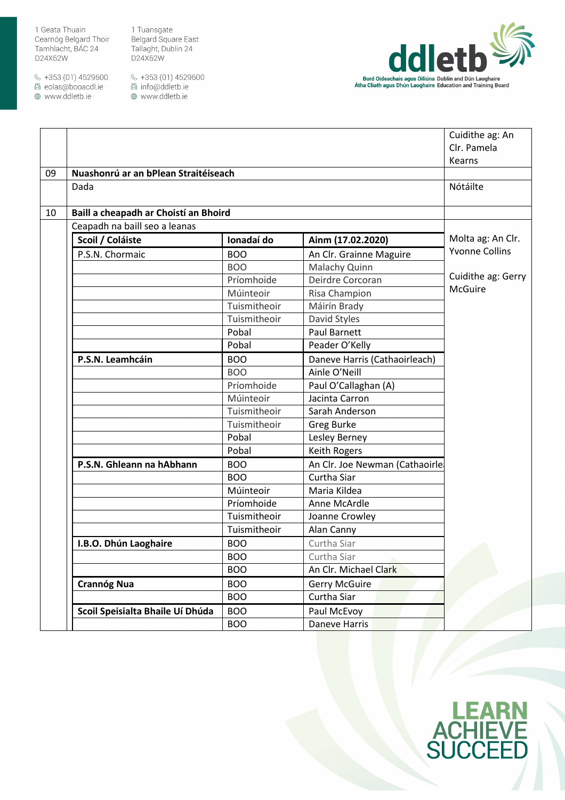$\&$  +353 (01) 4529600 圆 eolas@booacdl.ie

www.ddletb.ie

1 Tuansgate Belgard Square East Tallaght, Dublin 24 D24X62W



|    |                                       |              |                                | Cuidithe ag: An       |
|----|---------------------------------------|--------------|--------------------------------|-----------------------|
|    |                                       |              |                                | Clr. Pamela           |
|    |                                       |              |                                | Kearns                |
| 09 | Nuashonrú ar an bPlean Straitéiseach  |              |                                |                       |
|    | Dada                                  |              |                                | Nótáilte              |
| 10 | Baill a cheapadh ar Choistí an Bhoird |              |                                |                       |
|    | Ceapadh na baill seo a leanas         |              |                                |                       |
|    | Scoil / Coláiste                      | Ionadaí do   | Ainm (17.02.2020)              | Molta ag: An Clr.     |
|    | P.S.N. Chormaic                       | <b>BOO</b>   | An Clr. Grainne Maguire        | <b>Yvonne Collins</b> |
|    |                                       | <b>BOO</b>   | Malachy Quinn                  |                       |
|    |                                       | Príomhoide   | Deirdre Corcoran               | Cuidithe ag: Gerry    |
|    |                                       | Múinteoir    | Risa Champion                  | <b>McGuire</b>        |
|    |                                       | Tuismitheoir | Máirín Brady                   |                       |
|    |                                       | Tuismitheoir | David Styles                   |                       |
|    |                                       | Pobal        | <b>Paul Barnett</b>            |                       |
|    |                                       | Pobal        | Peader O'Kelly                 |                       |
|    | P.S.N. Leamhcáin                      | <b>BOO</b>   | Daneve Harris (Cathaoirleach)  |                       |
|    |                                       | <b>BOO</b>   | Ainle O'Neill                  |                       |
|    |                                       | Príomhoide   | Paul O'Callaghan (A)           |                       |
|    |                                       | Múinteoir    | Jacinta Carron                 |                       |
|    |                                       | Tuismitheoir | Sarah Anderson                 |                       |
|    |                                       | Tuismitheoir | Greg Burke                     |                       |
|    |                                       | Pobal        | Lesley Berney                  |                       |
|    |                                       | Pobal        | Keith Rogers                   |                       |
|    | P.S.N. Ghleann na hAbhann             | <b>BOO</b>   | An Clr. Joe Newman (Cathaoirle |                       |
|    |                                       | <b>BOO</b>   | Curtha Siar                    |                       |
|    |                                       | Múinteoir    | Maria Kildea                   |                       |
|    |                                       | Príomhoide   | Anne McArdle                   |                       |
|    |                                       | Tuismitheoir | Joanne Crowley                 |                       |
|    |                                       | Tuismitheoir | Alan Canny                     |                       |
|    | I.B.O. Dhún Laoghaire                 | <b>BOO</b>   | Curtha Siar                    |                       |
|    |                                       | <b>BOO</b>   | Curtha Siar                    |                       |
|    |                                       | <b>BOO</b>   | An Clr. Michael Clark          |                       |
|    | <b>Crannóg Nua</b>                    | <b>BOO</b>   | <b>Gerry McGuire</b>           |                       |
|    |                                       | <b>BOO</b>   | Curtha Siar                    |                       |
|    | Scoil Speisialta Bhaile Uí Dhúda      | <b>BOO</b>   | Paul McEvoy                    |                       |
|    |                                       | <b>BOO</b>   | Daneve Harris                  |                       |

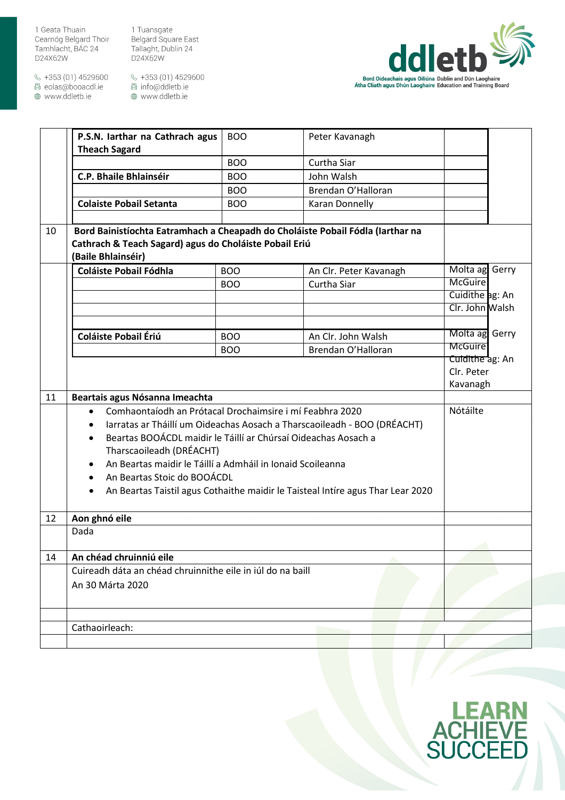1 Tuansgate Pridansgate<br>Belgard Square East<br>Tallaght, Dublin 24 D24X62W

 $\&$  +353 (01) 4529600 圆 eolas@booacdl.ie

www.ddletb.ie



|    | P.S.N. larthar na Cathrach agus<br><b>Theach Sagard</b>                               | <b>BOO</b> | Peter Kavanagh         |                 |
|----|---------------------------------------------------------------------------------------|------------|------------------------|-----------------|
|    |                                                                                       | <b>BOO</b> | Curtha Siar            |                 |
|    | <b>C.P. Bhaile Bhlainséir</b>                                                         | <b>BOO</b> | John Walsh             |                 |
|    |                                                                                       | <b>BOO</b> | Brendan O'Halloran     |                 |
|    | <b>Colaiste Pobail Setanta</b>                                                        | <b>BOO</b> | Karan Donnelly         |                 |
|    |                                                                                       |            |                        |                 |
| 10 | Bord Bainistíochta Eatramhach a Cheapadh do Choláiste Pobail Fódla (Iarthar na        |            |                        |                 |
|    | Cathrach & Teach Sagard) agus do Choláiste Pobail Eriú                                |            |                        |                 |
|    | (Baile Bhlainséir)                                                                    |            |                        |                 |
|    | <b>Coláiste Pobail Fódhla</b>                                                         | <b>BOO</b> | An Clr. Peter Kavanagh | Molta ag Gerry  |
|    |                                                                                       | <b>BOO</b> | Curtha Siar            | <b>McGuire</b>  |
|    |                                                                                       |            |                        | Cuidithe ag: An |
|    |                                                                                       |            |                        | Clr. John Walsh |
|    |                                                                                       |            |                        |                 |
|    | Coláiste Pobail Ériú                                                                  | <b>BOO</b> | An Clr. John Walsh     | Molta ag Gerry  |
|    |                                                                                       | <b>BOO</b> | Brendan O'Halloran     | <b>McGuire</b>  |
|    |                                                                                       |            |                        | Cuidithe ag: An |
|    |                                                                                       |            |                        | Clr. Peter      |
|    |                                                                                       |            |                        | Kavanagh        |
| 11 | Beartais agus Nósanna Imeachta                                                        |            |                        |                 |
|    | Comhaontaíodh an Prótacal Drochaimsire i mí Feabhra 2020<br>$\bullet$                 | Nótáilte   |                        |                 |
|    | Iarratas ar Tháillí um Oideachas Aosach a Tharscaoileadh - BOO (DRÉACHT)<br>$\bullet$ |            |                        |                 |
|    | Beartas BOOÁCDL maidir le Táillí ar Chúrsaí Oideachas Aosach a<br>٠                   |            |                        |                 |
|    | Tharscaoileadh (DRÉACHT)                                                              |            |                        |                 |
|    | An Beartas maidir le Táillí a Admháil in Ionaid Scoileanna                            |            |                        |                 |
|    | An Beartas Stoic do BOOÁCDL<br>$\bullet$                                              |            |                        |                 |
|    | An Beartas Taistil agus Cothaithe maidir le Taisteal Intíre agus Thar Lear 2020<br>٠  |            |                        |                 |
|    |                                                                                       |            |                        |                 |
| 12 | Aon ghnó eile                                                                         |            |                        |                 |
|    | Dada                                                                                  |            |                        |                 |
|    |                                                                                       |            |                        |                 |
| 14 | An chéad chruinniú eile                                                               |            |                        |                 |
|    | Cuireadh dáta an chéad chruinnithe eile in iúl do na baill                            |            |                        |                 |
|    | An 30 Márta 2020                                                                      |            |                        |                 |
|    |                                                                                       |            |                        |                 |
|    |                                                                                       |            |                        |                 |
|    | Cathaoirleach:                                                                        |            |                        |                 |
|    |                                                                                       |            |                        |                 |
|    |                                                                                       |            |                        |                 |